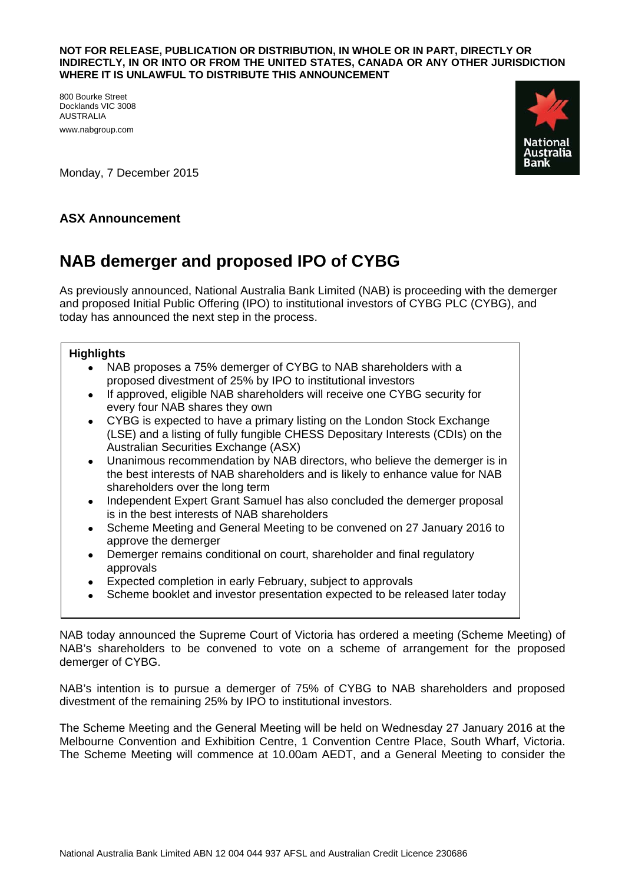## **NOT FOR RELEASE, PUBLICATION OR DISTRIBUTION, IN WHOLE OR IN PART, DIRECTLY OR INDIRECTLY, IN OR INTO OR FROM THE UNITED STATES, CANADA OR ANY OTHER JURISDICTION WHERE IT IS UNLAWFUL TO DISTRIBUTE THIS ANNOUNCEMENT**

800 Bourke Street Docklands VIC 3008 AUSTRALIA www.nabgroup.com



Monday, 7 December 2015

## **ASX Announcement**

## **NAB demerger and proposed IPO of CYBG**

As previously announced, National Australia Bank Limited (NAB) is proceeding with the demerger and proposed Initial Public Offering (IPO) to institutional investors of CYBG PLC (CYBG), and today has announced the next step in the process.

## **Highlights**

- NAB proposes a 75% demerger of CYBG to NAB shareholders with a proposed divestment of 25% by IPO to institutional investors
- If approved, eligible NAB shareholders will receive one CYBG security for every four NAB shares they own
- CYBG is expected to have a primary listing on the London Stock Exchange (LSE) and a listing of fully fungible CHESS Depositary Interests (CDIs) on the Australian Securities Exchange (ASX)
- Unanimous recommendation by NAB directors, who believe the demerger is in the best interests of NAB shareholders and is likely to enhance value for NAB shareholders over the long term
- Independent Expert Grant Samuel has also concluded the demerger proposal is in the best interests of NAB shareholders
- Scheme Meeting and General Meeting to be convened on 27 January 2016 to approve the demerger
- Demerger remains conditional on court, shareholder and final regulatory approvals
- Expected completion in early February, subject to approvals
- Scheme booklet and investor presentation expected to be released later today

NAB today announced the Supreme Court of Victoria has ordered a meeting (Scheme Meeting) of NAB's shareholders to be convened to vote on a scheme of arrangement for the proposed demerger of CYBG.

NAB's intention is to pursue a demerger of 75% of CYBG to NAB shareholders and proposed divestment of the remaining 25% by IPO to institutional investors.

The Scheme Meeting and the General Meeting will be held on Wednesday 27 January 2016 at the Melbourne Convention and Exhibition Centre, 1 Convention Centre Place, South Wharf, Victoria. The Scheme Meeting will commence at 10.00am AEDT, and a General Meeting to consider the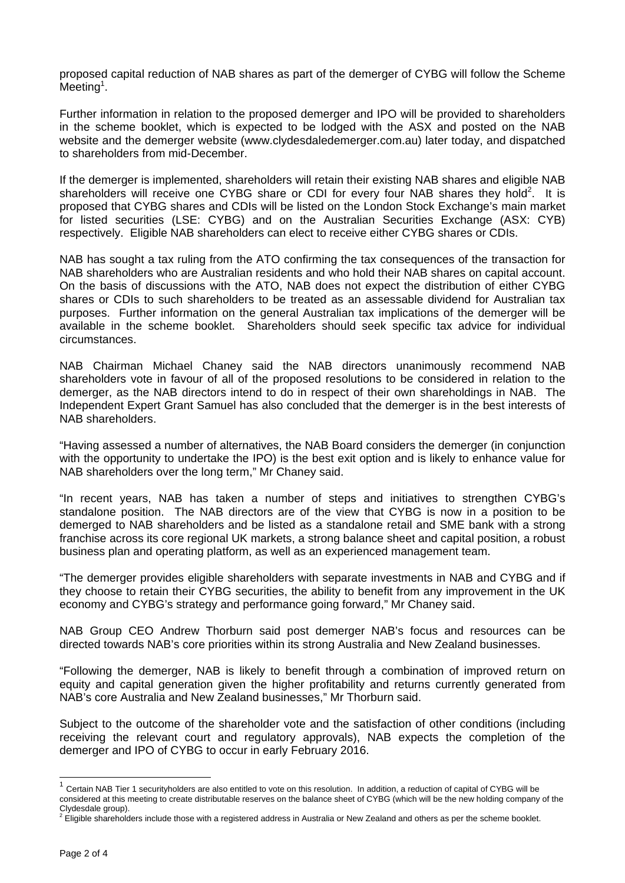proposed capital reduction of NAB shares as part of the demerger of CYBG will follow the Scheme  $Meeting<sup>1</sup>$ .

Further information in relation to the proposed demerger and IPO will be provided to shareholders in the scheme booklet, which is expected to be lodged with the ASX and posted on the NAB website and the demerger website (www.clydesdaledemerger.com.au) later today, and dispatched to shareholders from mid-December.

If the demerger is implemented, shareholders will retain their existing NAB shares and eligible NAB shareholders will receive one CYBG share or CDI for every four NAB shares they hold<sup>2</sup>. It is proposed that CYBG shares and CDIs will be listed on the London Stock Exchange's main market for listed securities (LSE: CYBG) and on the Australian Securities Exchange (ASX: CYB) respectively. Eligible NAB shareholders can elect to receive either CYBG shares or CDIs.

NAB has sought a tax ruling from the ATO confirming the tax consequences of the transaction for NAB shareholders who are Australian residents and who hold their NAB shares on capital account. On the basis of discussions with the ATO, NAB does not expect the distribution of either CYBG shares or CDIs to such shareholders to be treated as an assessable dividend for Australian tax purposes. Further information on the general Australian tax implications of the demerger will be available in the scheme booklet. Shareholders should seek specific tax advice for individual circumstances.

NAB Chairman Michael Chaney said the NAB directors unanimously recommend NAB shareholders vote in favour of all of the proposed resolutions to be considered in relation to the demerger, as the NAB directors intend to do in respect of their own shareholdings in NAB. The Independent Expert Grant Samuel has also concluded that the demerger is in the best interests of NAB shareholders.

"Having assessed a number of alternatives, the NAB Board considers the demerger (in conjunction with the opportunity to undertake the IPO) is the best exit option and is likely to enhance value for NAB shareholders over the long term," Mr Chaney said.

"In recent years, NAB has taken a number of steps and initiatives to strengthen CYBG's standalone position. The NAB directors are of the view that CYBG is now in a position to be demerged to NAB shareholders and be listed as a standalone retail and SME bank with a strong franchise across its core regional UK markets, a strong balance sheet and capital position, a robust business plan and operating platform, as well as an experienced management team.

"The demerger provides eligible shareholders with separate investments in NAB and CYBG and if they choose to retain their CYBG securities, the ability to benefit from any improvement in the UK economy and CYBG's strategy and performance going forward," Mr Chaney said.

NAB Group CEO Andrew Thorburn said post demerger NAB's focus and resources can be directed towards NAB's core priorities within its strong Australia and New Zealand businesses.

"Following the demerger, NAB is likely to benefit through a combination of improved return on equity and capital generation given the higher profitability and returns currently generated from NAB's core Australia and New Zealand businesses," Mr Thorburn said.

Subject to the outcome of the shareholder vote and the satisfaction of other conditions (including receiving the relevant court and regulatory approvals), NAB expects the completion of the demerger and IPO of CYBG to occur in early February 2016.

l

 $1$  Certain NAB Tier 1 securityholders are also entitled to vote on this resolution. In addition, a reduction of capital of CYBG will be considered at this meeting to create distributable reserves on the balance sheet of CYBG (which will be the new holding company of the Clydesdale group).

 $^2$  Éligible shareholders include those with a registered address in Australia or New Zealand and others as per the scheme booklet.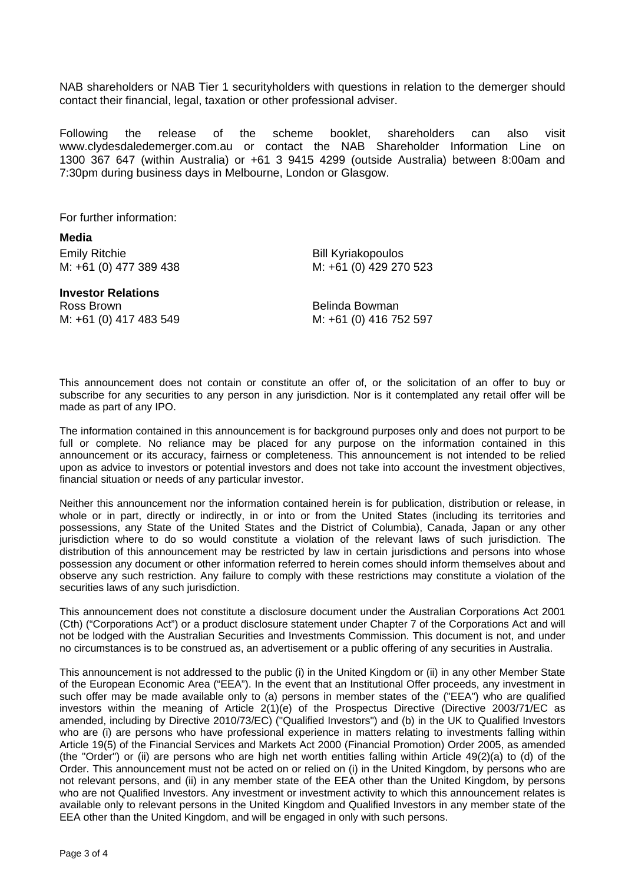NAB shareholders or NAB Tier 1 securityholders with questions in relation to the demerger should contact their financial, legal, taxation or other professional adviser.

Following the release of the scheme booklet, shareholders can also visit www.clydesdaledemerger.com.au or contact the NAB Shareholder Information Line on 1300 367 647 (within Australia) or +61 3 9415 4299 (outside Australia) between 8:00am and 7:30pm during business days in Melbourne, London or Glasgow.

For further information:

**Media**  Emily Ritchie **Bill Kyriakopoulos** M: +61 (0) 477 389 438 M: +61 (0) 429 270 523

**Investor Relations**  Ross Brown **Belinda** Bowman

M: +61 (0) 417 483 549 M: +61 (0) 416 752 597

This announcement does not contain or constitute an offer of, or the solicitation of an offer to buy or subscribe for any securities to any person in any jurisdiction. Nor is it contemplated any retail offer will be made as part of any IPO.

The information contained in this announcement is for background purposes only and does not purport to be full or complete. No reliance may be placed for any purpose on the information contained in this announcement or its accuracy, fairness or completeness. This announcement is not intended to be relied upon as advice to investors or potential investors and does not take into account the investment objectives, financial situation or needs of any particular investor.

Neither this announcement nor the information contained herein is for publication, distribution or release, in whole or in part, directly or indirectly, in or into or from the United States (including its territories and possessions, any State of the United States and the District of Columbia), Canada, Japan or any other jurisdiction where to do so would constitute a violation of the relevant laws of such jurisdiction. The distribution of this announcement may be restricted by law in certain jurisdictions and persons into whose possession any document or other information referred to herein comes should inform themselves about and observe any such restriction. Any failure to comply with these restrictions may constitute a violation of the securities laws of any such jurisdiction.

This announcement does not constitute a disclosure document under the Australian Corporations Act 2001 (Cth) ("Corporations Act") or a product disclosure statement under Chapter 7 of the Corporations Act and will not be lodged with the Australian Securities and Investments Commission. This document is not, and under no circumstances is to be construed as, an advertisement or a public offering of any securities in Australia.

This announcement is not addressed to the public (i) in the United Kingdom or (ii) in any other Member State of the European Economic Area ("EEA"). In the event that an Institutional Offer proceeds, any investment in such offer may be made available only to (a) persons in member states of the ("EEA") who are qualified investors within the meaning of Article 2(1)(e) of the Prospectus Directive (Directive 2003/71/EC as amended, including by Directive 2010/73/EC) ("Qualified Investors") and (b) in the UK to Qualified Investors who are (i) are persons who have professional experience in matters relating to investments falling within Article 19(5) of the Financial Services and Markets Act 2000 (Financial Promotion) Order 2005, as amended (the "Order") or (ii) are persons who are high net worth entities falling within Article 49(2)(a) to (d) of the Order. This announcement must not be acted on or relied on (i) in the United Kingdom, by persons who are not relevant persons, and (ii) in any member state of the EEA other than the United Kingdom, by persons who are not Qualified Investors. Any investment or investment activity to which this announcement relates is available only to relevant persons in the United Kingdom and Qualified Investors in any member state of the EEA other than the United Kingdom, and will be engaged in only with such persons.